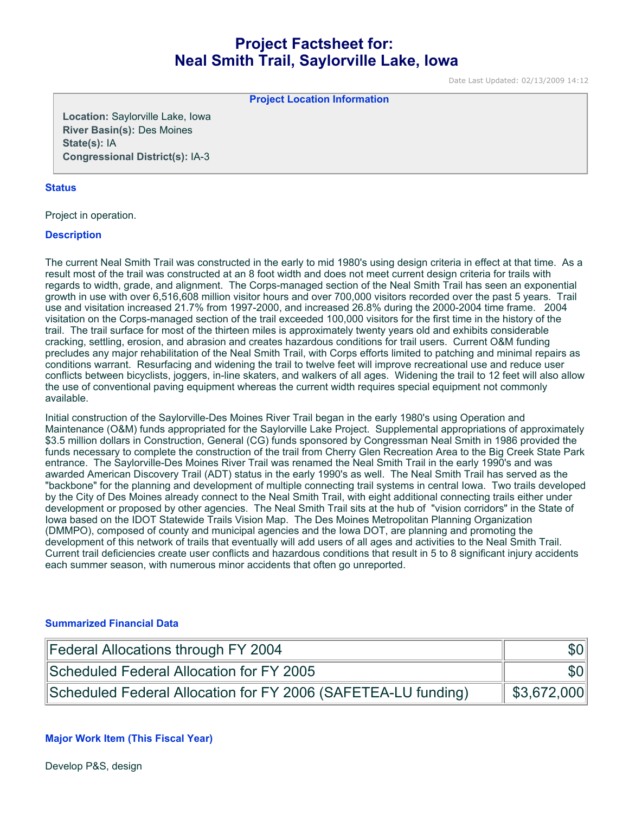# **Project Factsheet for: Neal Smith Trail, Saylorville Lake, Iowa**

Date Last Updated: 02/13/2009 14:12

**Project Location Information** 

**Location:** Saylorville Lake, Iowa **River Basin(s):** Des Moines **State(s):** IA **Congressional District(s):** IA-3

#### **Status**

Project in operation.

#### **Description**

The current Neal Smith Trail was constructed in the early to mid 1980's using design criteria in effect at that time. As a result most of the trail was constructed at an 8 foot width and does not meet current design criteria for trails with regards to width, grade, and alignment. The Corps-managed section of the Neal Smith Trail has seen an exponential growth in use with over 6,516,608 million visitor hours and over 700,000 visitors recorded over the past 5 years. Trail use and visitation increased 21.7% from 1997-2000, and increased 26.8% during the 2000-2004 time frame. 2004 visitation on the Corps-managed section of the trail exceeded 100,000 visitors for the first time in the history of the trail. The trail surface for most of the thirteen miles is approximately twenty years old and exhibits considerable cracking, settling, erosion, and abrasion and creates hazardous conditions for trail users. Current O&M funding precludes any major rehabilitation of the Neal Smith Trail, with Corps efforts limited to patching and minimal repairs as conditions warrant. Resurfacing and widening the trail to twelve feet will improve recreational use and reduce user conflicts between bicyclists, joggers, in-line skaters, and walkers of all ages. Widening the trail to 12 feet will also allow the use of conventional paving equipment whereas the current width requires special equipment not commonly available.

Initial construction of the Saylorville-Des Moines River Trail began in the early 1980's using Operation and Maintenance (O&M) funds appropriated for the Saylorville Lake Project. Supplemental appropriations of approximately \$3.5 million dollars in Construction, General (CG) funds sponsored by Congressman Neal Smith in 1986 provided the funds necessary to complete the construction of the trail from Cherry Glen Recreation Area to the Big Creek State Park entrance. The Saylorville-Des Moines River Trail was renamed the Neal Smith Trail in the early 1990's and was awarded American Discovery Trail (ADT) status in the early 1990's as well. The Neal Smith Trail has served as the "backbone" for the planning and development of multiple connecting trail systems in central Iowa. Two trails developed by the City of Des Moines already connect to the Neal Smith Trail, with eight additional connecting trails either under development or proposed by other agencies. The Neal Smith Trail sits at the hub of "vision corridors" in the State of Iowa based on the IDOT Statewide Trails Vision Map. The Des Moines Metropolitan Planning Organization (DMMPO), composed of county and municipal agencies and the Iowa DOT, are planning and promoting the development of this network of trails that eventually will add users of all ages and activities to the Neal Smith Trail. Current trail deficiencies create user conflicts and hazardous conditions that result in 5 to 8 significant injury accidents each summer season, with numerous minor accidents that often go unreported.

#### **Summarized Financial Data**

| Federal Allocations through FY 2004                           | \$0 <sub>1</sub>    |
|---------------------------------------------------------------|---------------------|
| Scheduled Federal Allocation for FY 2005                      | \$0 <sub>1</sub>    |
| Scheduled Federal Allocation for FY 2006 (SAFETEA-LU funding) | $\vert$ \$3,672,000 |

#### **Major Work Item (This Fiscal Year)**